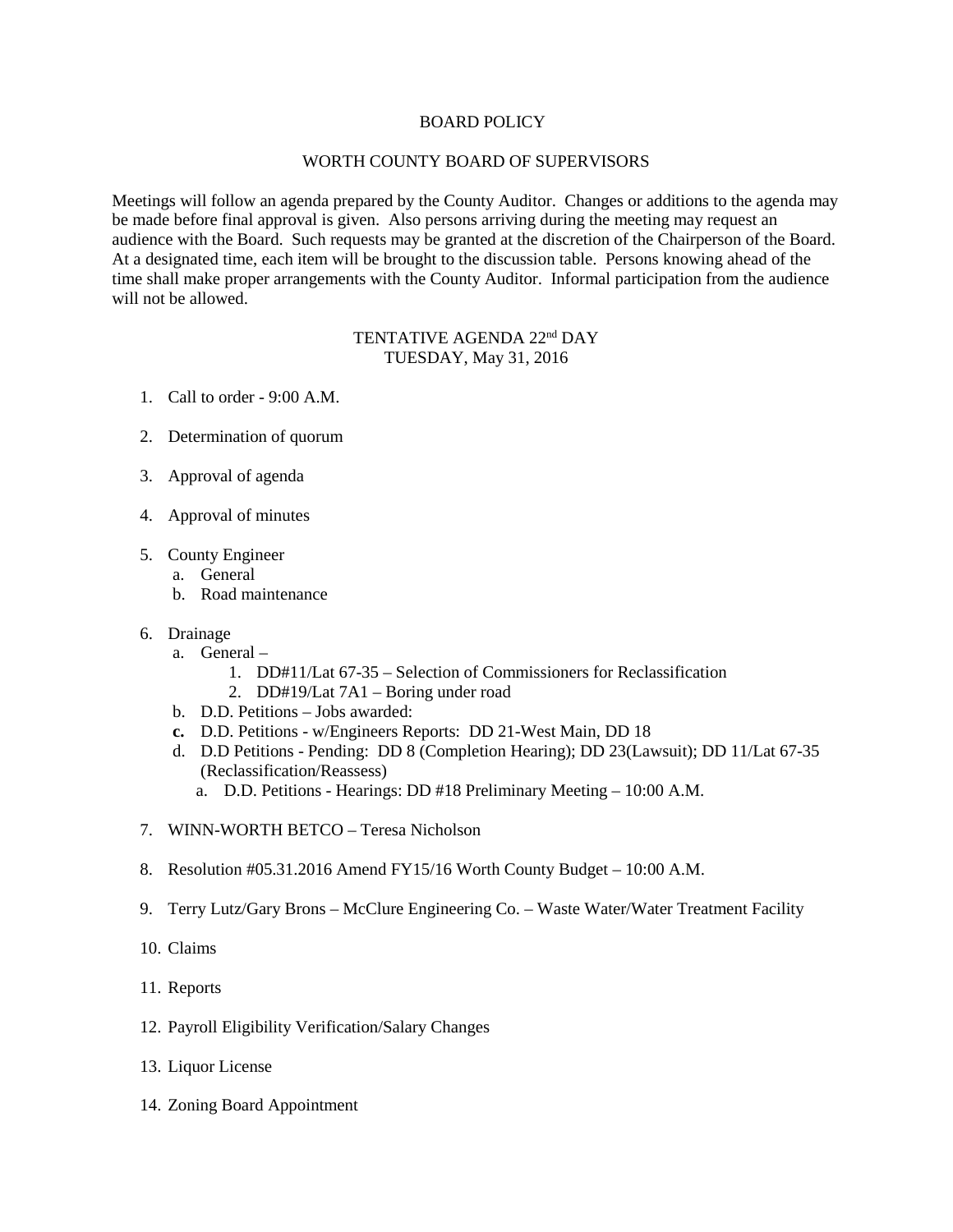## BOARD POLICY

## WORTH COUNTY BOARD OF SUPERVISORS

Meetings will follow an agenda prepared by the County Auditor. Changes or additions to the agenda may be made before final approval is given. Also persons arriving during the meeting may request an audience with the Board. Such requests may be granted at the discretion of the Chairperson of the Board. At a designated time, each item will be brought to the discussion table. Persons knowing ahead of the time shall make proper arrangements with the County Auditor. Informal participation from the audience will not be allowed.

## TENTATIVE AGENDA 22<sup>nd</sup> DAY TUESDAY, May 31, 2016

- 1. Call to order 9:00 A.M.
- 2. Determination of quorum
- 3. Approval of agenda
- 4. Approval of minutes
- 5. County Engineer
	- a. General
	- b. Road maintenance
- 6. Drainage
	- a. General
		- 1. DD#11/Lat 67-35 Selection of Commissioners for Reclassification
		- 2. DD#19/Lat 7A1 Boring under road
	- b. D.D. Petitions Jobs awarded:
	- **c.** D.D. Petitions w/Engineers Reports: DD 21-West Main, DD 18
	- d. D.D Petitions Pending: DD 8 (Completion Hearing); DD 23(Lawsuit); DD 11/Lat 67-35 (Reclassification/Reassess)
		- a. D.D. Petitions Hearings: DD #18 Preliminary Meeting 10:00 A.M.
- 7. WINN-WORTH BETCO Teresa Nicholson
- 8. Resolution #05.31.2016 Amend FY15/16 Worth County Budget 10:00 A.M.
- 9. Terry Lutz/Gary Brons McClure Engineering Co. Waste Water/Water Treatment Facility
- 10. Claims
- 11. Reports
- 12. Payroll Eligibility Verification/Salary Changes
- 13. Liquor License
- 14. Zoning Board Appointment